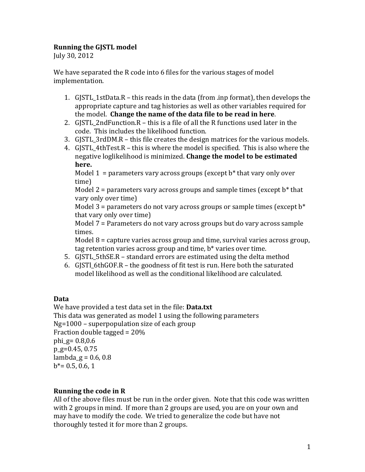#### **Running the GJSTL model**

July 30, 2012

We have separated the R code into 6 files for the various stages of model implementation.

- 1.  $G\left\{STL_1stData.R this reads in the data (from *.inp format*), then develops the$ appropriate capture and tag histories as well as other variables required for the model. **Change the name of the data file to be read in here.**
- 2. GISTL 2ndFunction.R this is a file of all the R functions used later in the code. This includes the likelihood function.
- 3.  $GISTL 3rdDM.R this file creates the design matrices for the various models.$
- 4. GISTL 4thTest.R this is where the model is specified. This is also where the negative loglikelihood is minimized. **Change the model to be estimated here.**

Model 1 = parameters vary across groups (except  $b^*$  that vary only over time)

Model  $2$  = parameters vary across groups and sample times (except  $b^*$  that vary only over time)

Model  $3$  = parameters do not vary across groups or sample times (except  $b^*$ that vary only over time)

Model  $7$  = Parameters do not vary across groups but do vary across sample times.

Model  $8 =$  capture varies across group and time, survival varies across group, tag retention varies across group and time,  $b^*$  varies over time.

- 5. GISTL 5thSE.R standard errors are estimated using the delta method
- 6. GJSTL 6thGOF.R the goodness of fit test is run. Here both the saturated model likelihood as well as the conditional likelihood are calculated.

## **Data**

We have provided a test data set in the file: **Data.txt** This data was generated as model 1 using the following parameters  $Ng=1000$  – superpopulation size of each group Fraction double tagged  $= 20\%$ phi\_g=  $0.8,0.6$  $p$  g=0.45, 0.75 lambda  $g = 0.6, 0.8$  $b^*$  = 0.5, 0.6, 1

## **Running the code in R**

All of the above files must be run in the order given. Note that this code was written with 2 groups in mind. If more than 2 groups are used, you are on your own and may have to modify the code. We tried to generalize the code but have not thoroughly tested it for more than 2 groups.